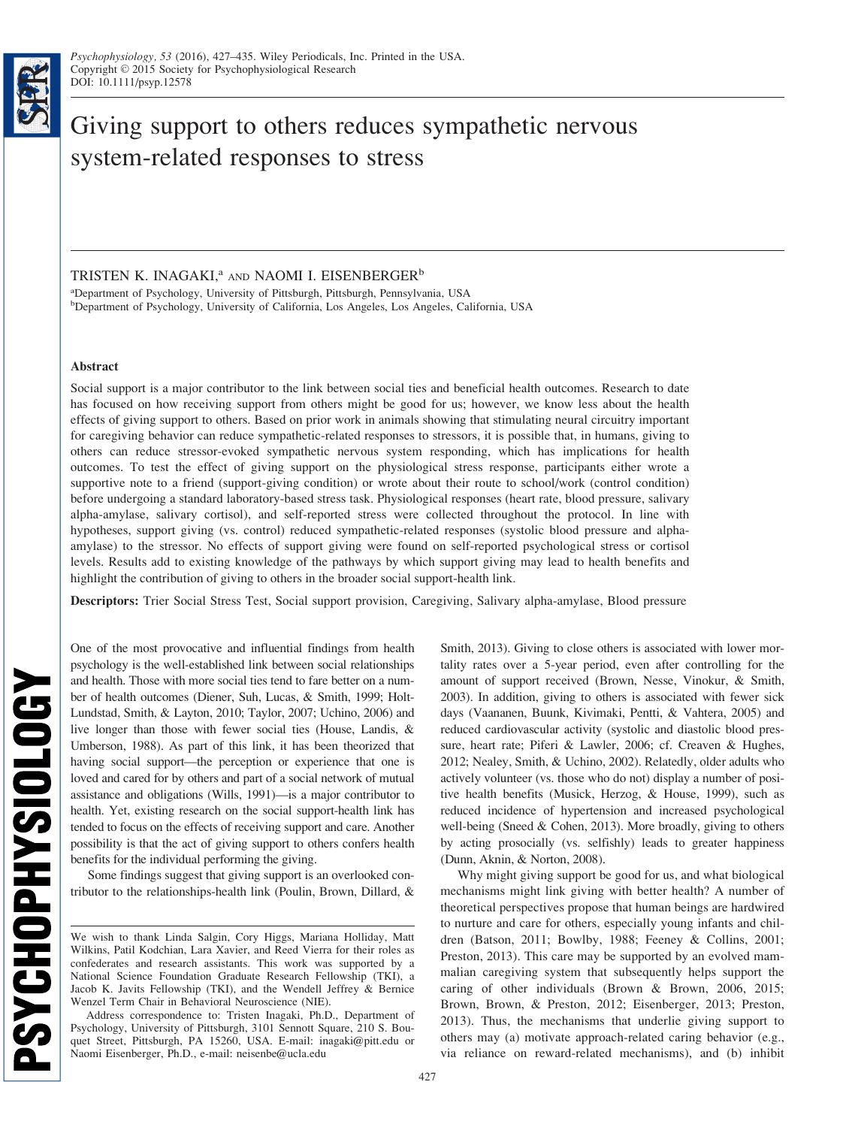

TRISTEN K. INAGAKI,<sup>a</sup> AND NAOMI I. EISENBERGER<sup>b</sup>

a Department of Psychology, University of Pittsburgh, Pittsburgh, Pennsylvania, USA b Department of Psychology, University of California, Los Angeles, Los Angeles, California, USA

## Abstract

Social support is a major contributor to the link between social ties and beneficial health outcomes. Research to date has focused on how receiving support from others might be good for us; however, we know less about the health effects of giving support to others. Based on prior work in animals showing that stimulating neural circuitry important for caregiving behavior can reduce sympathetic-related responses to stressors, it is possible that, in humans, giving to others can reduce stressor-evoked sympathetic nervous system responding, which has implications for health outcomes. To test the effect of giving support on the physiological stress response, participants either wrote a supportive note to a friend (support-giving condition) or wrote about their route to school/work (control condition) before undergoing a standard laboratory-based stress task. Physiological responses (heart rate, blood pressure, salivary alpha-amylase, salivary cortisol), and self-reported stress were collected throughout the protocol. In line with hypotheses, support giving (vs. control) reduced sympathetic-related responses (systolic blood pressure and alphaamylase) to the stressor. No effects of support giving were found on self-reported psychological stress or cortisol levels. Results add to existing knowledge of the pathways by which support giving may lead to health benefits and highlight the contribution of giving to others in the broader social support-health link.

Descriptors: Trier Social Stress Test, Social support provision, Caregiving, Salivary alpha-amylase, Blood pressure

One of the most provocative and influential findings from health psychology is the well-established link between social relationships and health. Those with more social ties tend to fare better on a number of health outcomes (Diener, Suh, Lucas, & Smith, 1999; Holt-Lundstad, Smith, & Layton, 2010; Taylor, 2007; Uchino, 2006) and live longer than those with fewer social ties (House, Landis, & Umberson, 1988). As part of this link, it has been theorized that having social support—the perception or experience that one is loved and cared for by others and part of a social network of mutual assistance and obligations (Wills, 1991)—is a major contributor to health. Yet, existing research on the social support-health link has tended to focus on the effects of receiving support and care. Another possibility is that the act of giving support to others confers health benefits for the individual performing the giving.

Some findings suggest that giving support is an overlooked contributor to the relationships-health link (Poulin, Brown, Dillard, &

Smith, 2013). Giving to close others is associated with lower mortality rates over a 5-year period, even after controlling for the amount of support received (Brown, Nesse, Vinokur, & Smith, 2003). In addition, giving to others is associated with fewer sick days (Vaananen, Buunk, Kivimaki, Pentti, & Vahtera, 2005) and reduced cardiovascular activity (systolic and diastolic blood pressure, heart rate; Piferi & Lawler, 2006; cf. Creaven & Hughes, 2012; Nealey, Smith, & Uchino, 2002). Relatedly, older adults who actively volunteer (vs. those who do not) display a number of positive health benefits (Musick, Herzog, & House, 1999), such as reduced incidence of hypertension and increased psychological well-being (Sneed & Cohen, 2013). More broadly, giving to others by acting prosocially (vs. selfishly) leads to greater happiness (Dunn, Aknin, & Norton, 2008).

Why might giving support be good for us, and what biological mechanisms might link giving with better health? A number of theoretical perspectives propose that human beings are hardwired to nurture and care for others, especially young infants and children (Batson, 2011; Bowlby, 1988; Feeney & Collins, 2001; Preston, 2013). This care may be supported by an evolved mammalian caregiving system that subsequently helps support the caring of other individuals (Brown & Brown, 2006, 2015; Brown, Brown, & Preston, 2012; Eisenberger, 2013; Preston, 2013). Thus, the mechanisms that underlie giving support to others may (a) motivate approach-related caring behavior (e.g., via reliance on reward-related mechanisms), and (b) inhibit

We wish to thank Linda Salgin, Cory Higgs, Mariana Holliday, Matt Wilkins, Patil Kodchian, Lara Xavier, and Reed Vierra for their roles as confederates and research assistants. This work was supported by a National Science Foundation Graduate Research Fellowship (TKI), a Jacob K. Javits Fellowship (TKI), and the Wendell Jeffrey & Bernice Wenzel Term Chair in Behavioral Neuroscience (NIE).

Address correspondence to: Tristen Inagaki, Ph.D., Department of Psychology, University of Pittsburgh, 3101 Sennott Square, 210 S. Bouquet Street, Pittsburgh, PA 15260, USA. E-mail: inagaki@pitt.edu or Naomi Eisenberger, Ph.D., e-mail: neisenbe@ucla.edu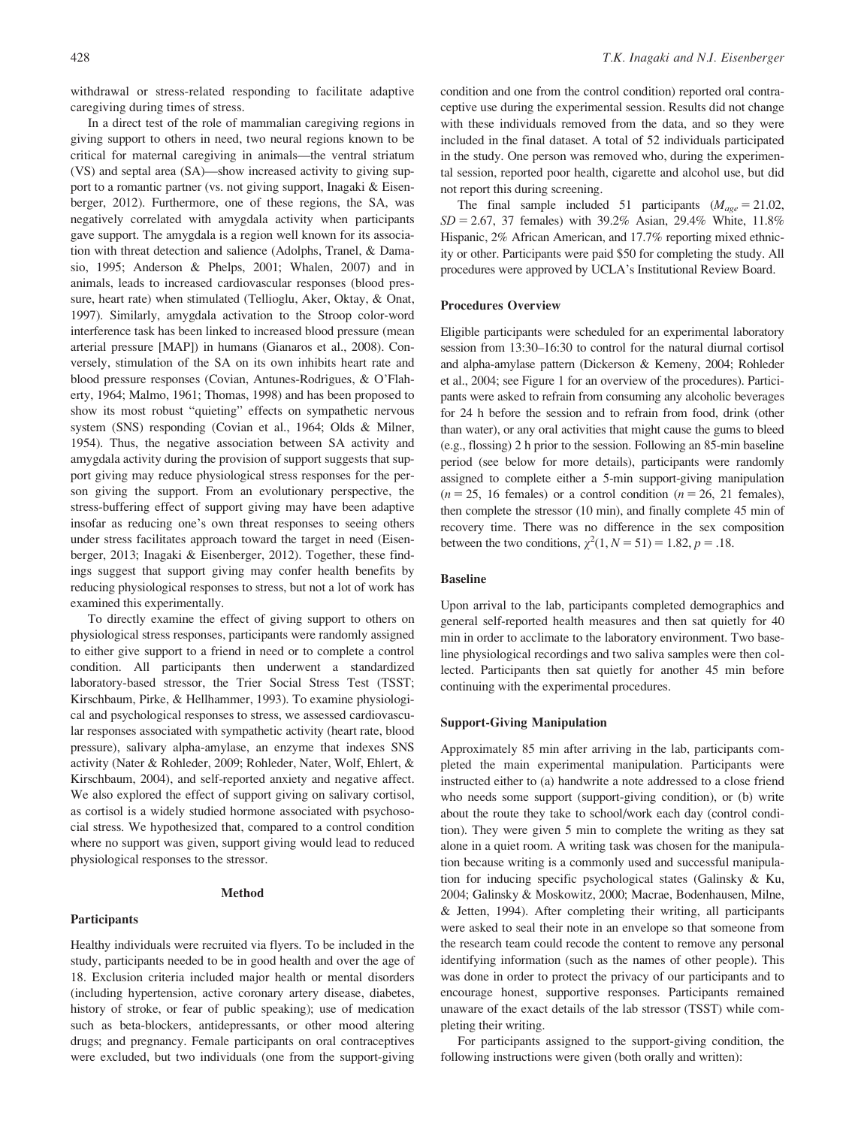withdrawal or stress-related responding to facilitate adaptive caregiving during times of stress.

In a direct test of the role of mammalian caregiving regions in giving support to others in need, two neural regions known to be critical for maternal caregiving in animals—the ventral striatum (VS) and septal area (SA)—show increased activity to giving support to a romantic partner (vs. not giving support, Inagaki & Eisenberger, 2012). Furthermore, one of these regions, the SA, was negatively correlated with amygdala activity when participants gave support. The amygdala is a region well known for its association with threat detection and salience (Adolphs, Tranel, & Damasio, 1995; Anderson & Phelps, 2001; Whalen, 2007) and in animals, leads to increased cardiovascular responses (blood pressure, heart rate) when stimulated (Tellioglu, Aker, Oktay, & Onat, 1997). Similarly, amygdala activation to the Stroop color-word interference task has been linked to increased blood pressure (mean arterial pressure [MAP]) in humans (Gianaros et al., 2008). Conversely, stimulation of the SA on its own inhibits heart rate and blood pressure responses (Covian, Antunes-Rodrigues, & O'Flaherty, 1964; Malmo, 1961; Thomas, 1998) and has been proposed to show its most robust "quieting" effects on sympathetic nervous system (SNS) responding (Covian et al., 1964; Olds & Milner, 1954). Thus, the negative association between SA activity and amygdala activity during the provision of support suggests that support giving may reduce physiological stress responses for the person giving the support. From an evolutionary perspective, the stress-buffering effect of support giving may have been adaptive insofar as reducing one's own threat responses to seeing others under stress facilitates approach toward the target in need (Eisenberger, 2013; Inagaki & Eisenberger, 2012). Together, these findings suggest that support giving may confer health benefits by reducing physiological responses to stress, but not a lot of work has examined this experimentally.

To directly examine the effect of giving support to others on physiological stress responses, participants were randomly assigned to either give support to a friend in need or to complete a control condition. All participants then underwent a standardized laboratory-based stressor, the Trier Social Stress Test (TSST; Kirschbaum, Pirke, & Hellhammer, 1993). To examine physiological and psychological responses to stress, we assessed cardiovascular responses associated with sympathetic activity (heart rate, blood pressure), salivary alpha-amylase, an enzyme that indexes SNS activity (Nater & Rohleder, 2009; Rohleder, Nater, Wolf, Ehlert, & Kirschbaum, 2004), and self-reported anxiety and negative affect. We also explored the effect of support giving on salivary cortisol, as cortisol is a widely studied hormone associated with psychosocial stress. We hypothesized that, compared to a control condition where no support was given, support giving would lead to reduced physiological responses to the stressor.

#### Method

#### **Participants**

Healthy individuals were recruited via flyers. To be included in the study, participants needed to be in good health and over the age of 18. Exclusion criteria included major health or mental disorders (including hypertension, active coronary artery disease, diabetes, history of stroke, or fear of public speaking); use of medication such as beta-blockers, antidepressants, or other mood altering drugs; and pregnancy. Female participants on oral contraceptives were excluded, but two individuals (one from the support-giving condition and one from the control condition) reported oral contraceptive use during the experimental session. Results did not change with these individuals removed from the data, and so they were included in the final dataset. A total of 52 individuals participated in the study. One person was removed who, during the experimental session, reported poor health, cigarette and alcohol use, but did not report this during screening.

The final sample included 51 participants ( $M_{age} = 21.02$ ,  $SD = 2.67$ , 37 females) with 39.2% Asian, 29.4% White, 11.8% Hispanic, 2% African American, and 17.7% reporting mixed ethnicity or other. Participants were paid \$50 for completing the study. All procedures were approved by UCLA's Institutional Review Board.

# Procedures Overview

Eligible participants were scheduled for an experimental laboratory session from 13:30–16:30 to control for the natural diurnal cortisol and alpha-amylase pattern (Dickerson & Kemeny, 2004; Rohleder et al., 2004; see Figure 1 for an overview of the procedures). Participants were asked to refrain from consuming any alcoholic beverages for 24 h before the session and to refrain from food, drink (other than water), or any oral activities that might cause the gums to bleed (e.g., flossing) 2 h prior to the session. Following an 85-min baseline period (see below for more details), participants were randomly assigned to complete either a 5-min support-giving manipulation  $(n = 25, 16$  females) or a control condition  $(n = 26, 21$  females), then complete the stressor (10 min), and finally complete 45 min of recovery time. There was no difference in the sex composition between the two conditions,  $\chi^2(1, N = 51) = 1.82, p = .18$ .

# Baseline

Upon arrival to the lab, participants completed demographics and general self-reported health measures and then sat quietly for 40 min in order to acclimate to the laboratory environment. Two baseline physiological recordings and two saliva samples were then collected. Participants then sat quietly for another 45 min before continuing with the experimental procedures.

## Support-Giving Manipulation

Approximately 85 min after arriving in the lab, participants completed the main experimental manipulation. Participants were instructed either to (a) handwrite a note addressed to a close friend who needs some support (support-giving condition), or (b) write about the route they take to school/work each day (control condition). They were given 5 min to complete the writing as they sat alone in a quiet room. A writing task was chosen for the manipulation because writing is a commonly used and successful manipulation for inducing specific psychological states (Galinsky & Ku, 2004; Galinsky & Moskowitz, 2000; Macrae, Bodenhausen, Milne, & Jetten, 1994). After completing their writing, all participants were asked to seal their note in an envelope so that someone from the research team could recode the content to remove any personal identifying information (such as the names of other people). This was done in order to protect the privacy of our participants and to encourage honest, supportive responses. Participants remained unaware of the exact details of the lab stressor (TSST) while completing their writing.

For participants assigned to the support-giving condition, the following instructions were given (both orally and written):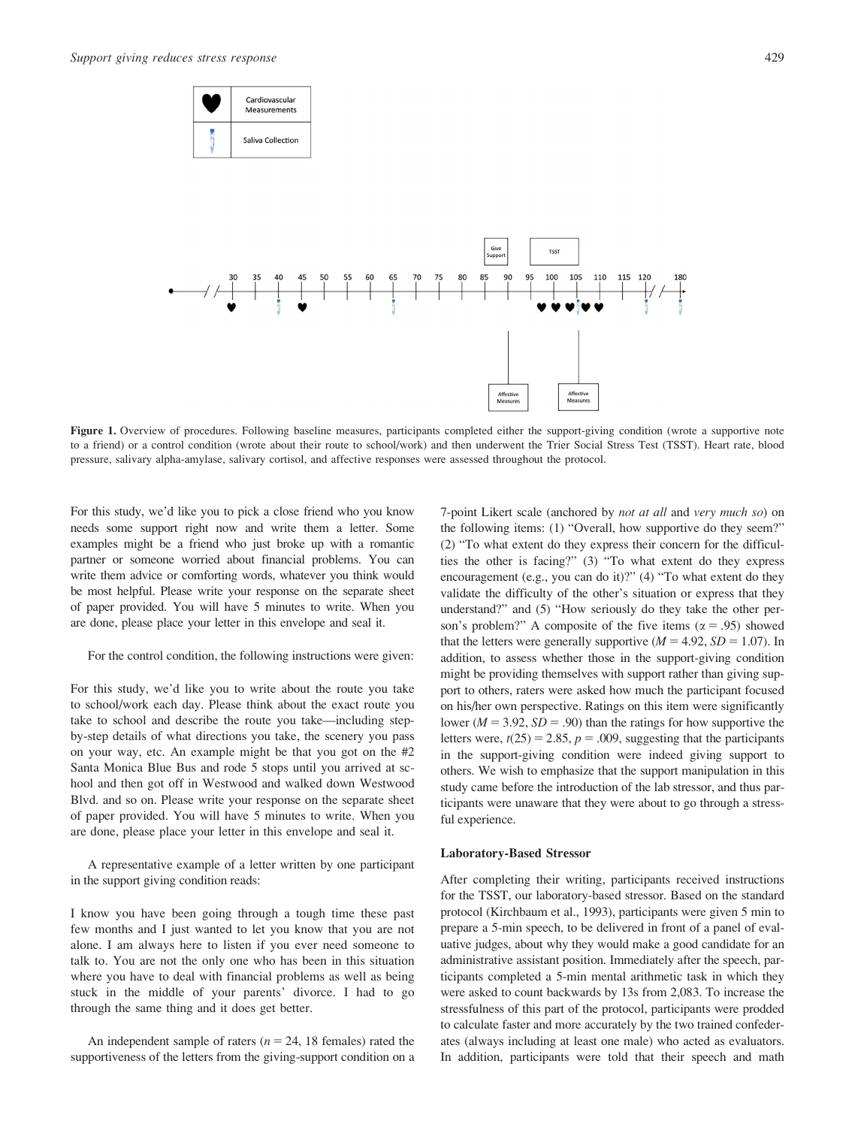



Figure 1. Overview of procedures. Following baseline measures, participants completed either the support-giving condition (wrote a supportive note to a friend) or a control condition (wrote about their route to school/work) and then underwent the Trier Social Stress Test (TSST). Heart rate, blood pressure, salivary alpha-amylase, salivary cortisol, and affective responses were assessed throughout the protocol.

For this study, we'd like you to pick a close friend who you know needs some support right now and write them a letter. Some examples might be a friend who just broke up with a romantic partner or someone worried about financial problems. You can write them advice or comforting words, whatever you think would be most helpful. Please write your response on the separate sheet of paper provided. You will have 5 minutes to write. When you are done, please place your letter in this envelope and seal it.

For the control condition, the following instructions were given:

For this study, we'd like you to write about the route you take to school/work each day. Please think about the exact route you take to school and describe the route you take—including stepby-step details of what directions you take, the scenery you pass on your way, etc. An example might be that you got on the #2 Santa Monica Blue Bus and rode 5 stops until you arrived at school and then got off in Westwood and walked down Westwood Blvd. and so on. Please write your response on the separate sheet of paper provided. You will have 5 minutes to write. When you are done, please place your letter in this envelope and seal it.

A representative example of a letter written by one participant in the support giving condition reads:

I know you have been going through a tough time these past few months and I just wanted to let you know that you are not alone. I am always here to listen if you ever need someone to talk to. You are not the only one who has been in this situation where you have to deal with financial problems as well as being stuck in the middle of your parents' divorce. I had to go through the same thing and it does get better.

An independent sample of raters ( $n = 24$ , 18 females) rated the supportiveness of the letters from the giving-support condition on a 7-point Likert scale (anchored by not at all and very much so) on the following items: (1) "Overall, how supportive do they seem?" (2) "To what extent do they express their concern for the difficulties the other is facing?" (3) "To what extent do they express encouragement (e.g., you can do it)?" (4) "To what extent do they validate the difficulty of the other's situation or express that they understand?" and (5) "How seriously do they take the other person's problem?" A composite of the five items ( $\alpha$  = .95) showed that the letters were generally supportive  $(M = 4.92, SD = 1.07)$ . In addition, to assess whether those in the support-giving condition might be providing themselves with support rather than giving support to others, raters were asked how much the participant focused on his/her own perspective. Ratings on this item were significantly lower ( $M = 3.92$ ,  $SD = .90$ ) than the ratings for how supportive the letters were,  $t(25) = 2.85$ ,  $p = .009$ , suggesting that the participants in the support-giving condition were indeed giving support to others. We wish to emphasize that the support manipulation in this study came before the introduction of the lab stressor, and thus participants were unaware that they were about to go through a stressful experience.

#### Laboratory-Based Stressor

After completing their writing, participants received instructions for the TSST, our laboratory-based stressor. Based on the standard protocol (Kirchbaum et al., 1993), participants were given 5 min to prepare a 5-min speech, to be delivered in front of a panel of evaluative judges, about why they would make a good candidate for an administrative assistant position. Immediately after the speech, participants completed a 5-min mental arithmetic task in which they were asked to count backwards by 13s from 2,083. To increase the stressfulness of this part of the protocol, participants were prodded to calculate faster and more accurately by the two trained confederates (always including at least one male) who acted as evaluators. In addition, participants were told that their speech and math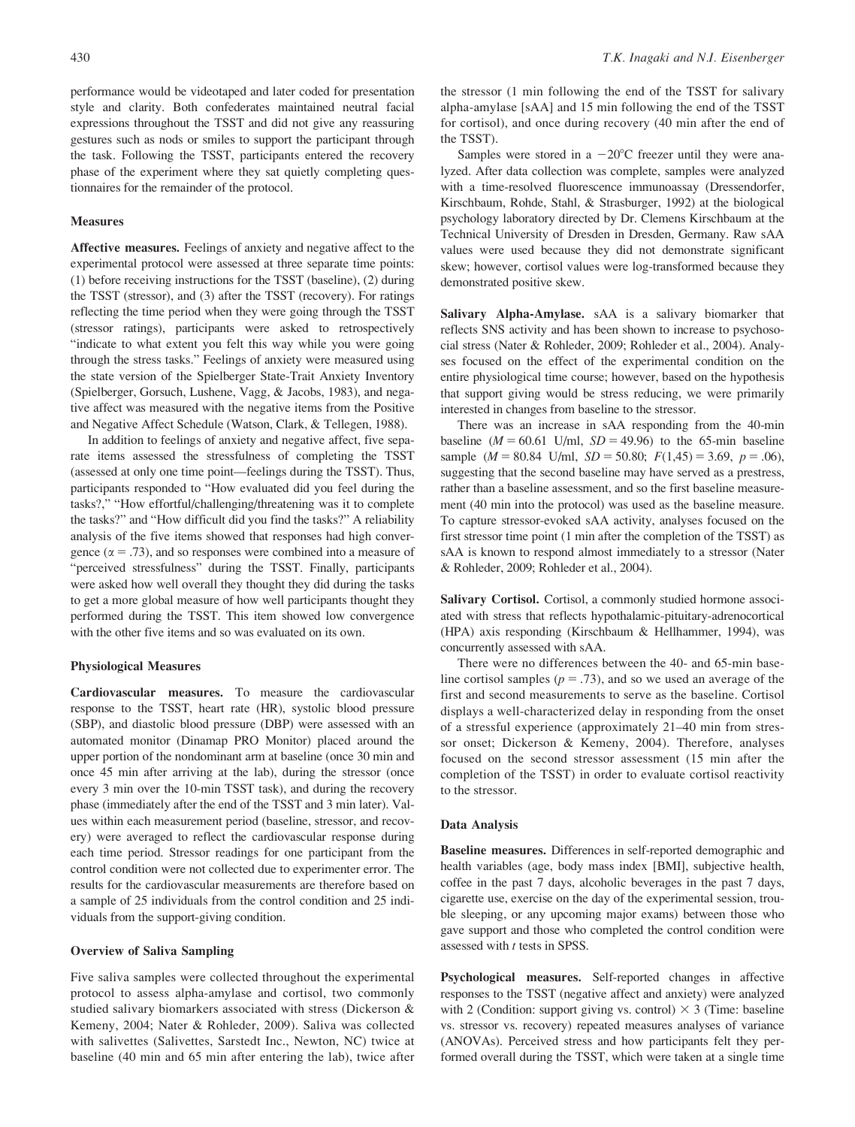performance would be videotaped and later coded for presentation style and clarity. Both confederates maintained neutral facial expressions throughout the TSST and did not give any reassuring gestures such as nods or smiles to support the participant through the task. Following the TSST, participants entered the recovery phase of the experiment where they sat quietly completing questionnaires for the remainder of the protocol.

### **Measures**

Affective measures. Feelings of anxiety and negative affect to the experimental protocol were assessed at three separate time points: (1) before receiving instructions for the TSST (baseline), (2) during the TSST (stressor), and (3) after the TSST (recovery). For ratings reflecting the time period when they were going through the TSST (stressor ratings), participants were asked to retrospectively "indicate to what extent you felt this way while you were going through the stress tasks." Feelings of anxiety were measured using the state version of the Spielberger State-Trait Anxiety Inventory (Spielberger, Gorsuch, Lushene, Vagg, & Jacobs, 1983), and negative affect was measured with the negative items from the Positive and Negative Affect Schedule (Watson, Clark, & Tellegen, 1988).

In addition to feelings of anxiety and negative affect, five separate items assessed the stressfulness of completing the TSST (assessed at only one time point—feelings during the TSST). Thus, participants responded to "How evaluated did you feel during the tasks?," "How effortful/challenging/threatening was it to complete the tasks?" and "How difficult did you find the tasks?" A reliability analysis of the five items showed that responses had high convergence ( $\alpha = .73$ ), and so responses were combined into a measure of "perceived stressfulness" during the TSST. Finally, participants were asked how well overall they thought they did during the tasks to get a more global measure of how well participants thought they performed during the TSST. This item showed low convergence with the other five items and so was evaluated on its own.

#### Physiological Measures

Cardiovascular measures. To measure the cardiovascular response to the TSST, heart rate (HR), systolic blood pressure (SBP), and diastolic blood pressure (DBP) were assessed with an automated monitor (Dinamap PRO Monitor) placed around the upper portion of the nondominant arm at baseline (once 30 min and once 45 min after arriving at the lab), during the stressor (once every 3 min over the 10-min TSST task), and during the recovery phase (immediately after the end of the TSST and 3 min later). Values within each measurement period (baseline, stressor, and recovery) were averaged to reflect the cardiovascular response during each time period. Stressor readings for one participant from the control condition were not collected due to experimenter error. The results for the cardiovascular measurements are therefore based on a sample of 25 individuals from the control condition and 25 individuals from the support-giving condition.

## Overview of Saliva Sampling

Five saliva samples were collected throughout the experimental protocol to assess alpha-amylase and cortisol, two commonly studied salivary biomarkers associated with stress (Dickerson & Kemeny, 2004; Nater & Rohleder, 2009). Saliva was collected with salivettes (Salivettes, Sarstedt Inc., Newton, NC) twice at baseline (40 min and 65 min after entering the lab), twice after the stressor (1 min following the end of the TSST for salivary alpha-amylase [sAA] and 15 min following the end of the TSST for cortisol), and once during recovery (40 min after the end of the TSST).

Samples were stored in a  $-20^{\circ}$ C freezer until they were analyzed. After data collection was complete, samples were analyzed with a time-resolved fluorescence immunoassay (Dressendorfer, Kirschbaum, Rohde, Stahl, & Strasburger, 1992) at the biological psychology laboratory directed by Dr. Clemens Kirschbaum at the Technical University of Dresden in Dresden, Germany. Raw sAA values were used because they did not demonstrate significant skew; however, cortisol values were log-transformed because they demonstrated positive skew.

Salivary Alpha-Amylase. sAA is a salivary biomarker that reflects SNS activity and has been shown to increase to psychosocial stress (Nater & Rohleder, 2009; Rohleder et al., 2004). Analyses focused on the effect of the experimental condition on the entire physiological time course; however, based on the hypothesis that support giving would be stress reducing, we were primarily interested in changes from baseline to the stressor.

There was an increase in sAA responding from the 40-min baseline ( $M = 60.61$  U/ml,  $SD = 49.96$ ) to the 65-min baseline sample ( $M = 80.84$  U/ml,  $SD = 50.80$ ;  $F(1,45) = 3.69$ ,  $p = .06$ ), suggesting that the second baseline may have served as a prestress, rather than a baseline assessment, and so the first baseline measurement (40 min into the protocol) was used as the baseline measure. To capture stressor-evoked sAA activity, analyses focused on the first stressor time point (1 min after the completion of the TSST) as sAA is known to respond almost immediately to a stressor (Nater & Rohleder, 2009; Rohleder et al., 2004).

Salivary Cortisol. Cortisol, a commonly studied hormone associated with stress that reflects hypothalamic-pituitary-adrenocortical (HPA) axis responding (Kirschbaum & Hellhammer, 1994), was concurrently assessed with sAA.

There were no differences between the 40- and 65-min baseline cortisol samples ( $p = .73$ ), and so we used an average of the first and second measurements to serve as the baseline. Cortisol displays a well-characterized delay in responding from the onset of a stressful experience (approximately 21–40 min from stressor onset; Dickerson & Kemeny, 2004). Therefore, analyses focused on the second stressor assessment (15 min after the completion of the TSST) in order to evaluate cortisol reactivity to the stressor.

#### Data Analysis

Baseline measures. Differences in self-reported demographic and health variables (age, body mass index [BMI], subjective health, coffee in the past 7 days, alcoholic beverages in the past 7 days, cigarette use, exercise on the day of the experimental session, trouble sleeping, or any upcoming major exams) between those who gave support and those who completed the control condition were assessed with t tests in SPSS.

Psychological measures. Self-reported changes in affective responses to the TSST (negative affect and anxiety) were analyzed with 2 (Condition: support giving vs. control)  $\times$  3 (Time: baseline vs. stressor vs. recovery) repeated measures analyses of variance (ANOVAs). Perceived stress and how participants felt they performed overall during the TSST, which were taken at a single time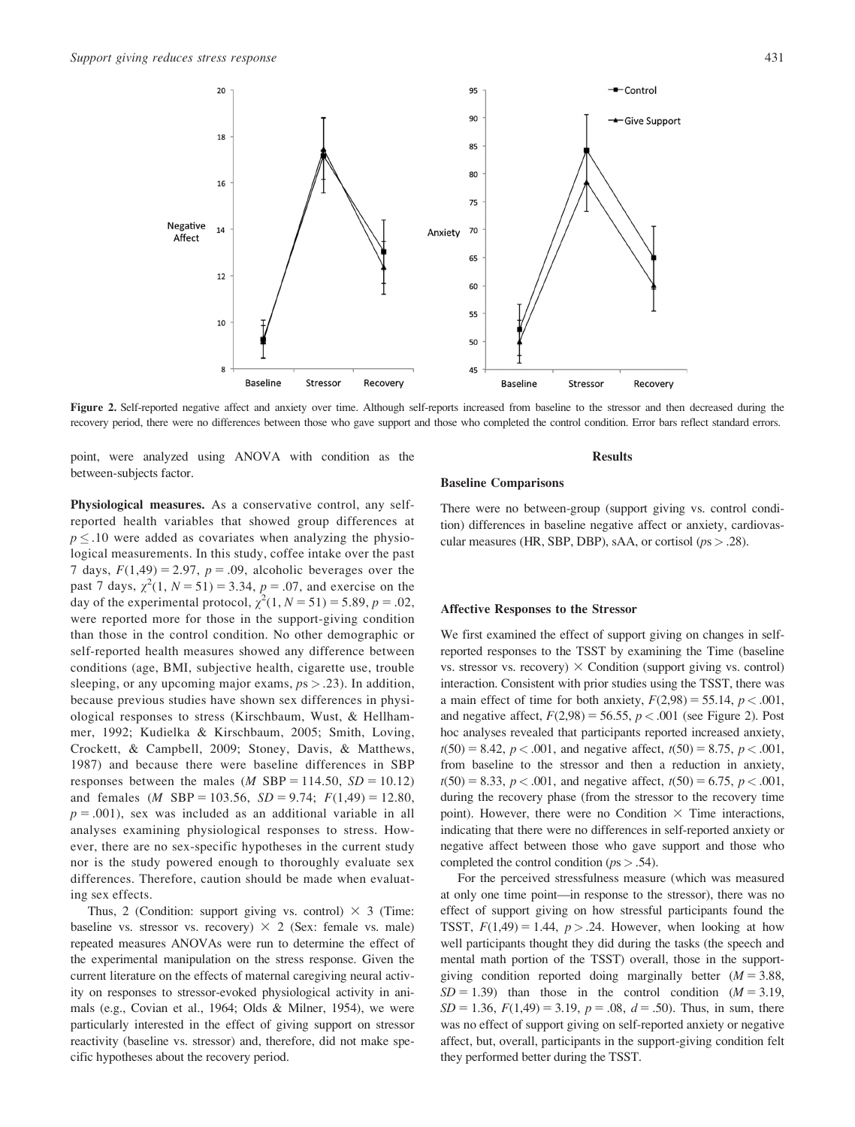

Figure 2. Self-reported negative affect and anxiety over time. Although self-reports increased from baseline to the stressor and then decreased during the recovery period, there were no differences between those who gave support and those who completed the control condition. Error bars reflect standard errors.

point, were analyzed using ANOVA with condition as the between-subjects factor.

Physiological measures. As a conservative control, any selfreported health variables that showed group differences at  $p \leq 0.10$  were added as covariates when analyzing the physiological measurements. In this study, coffee intake over the past 7 days,  $F(1,49) = 2.97$ ,  $p = .09$ , alcoholic beverages over the past 7 days,  $\chi^2(1, N = 51) = 3.34$ ,  $p = .07$ , and exercise on the day of the experimental protocol,  $\chi^2(1, N = 51) = 5.89$ ,  $p = .02$ , were reported more for those in the support-giving condition than those in the control condition. No other demographic or self-reported health measures showed any difference between conditions (age, BMI, subjective health, cigarette use, trouble sleeping, or any upcoming major exams,  $ps > .23$ ). In addition, because previous studies have shown sex differences in physiological responses to stress (Kirschbaum, Wust, & Hellhammer, 1992; Kudielka & Kirschbaum, 2005; Smith, Loving, Crockett, & Campbell, 2009; Stoney, Davis, & Matthews, 1987) and because there were baseline differences in SBP responses between the males (*M* SBP = 114.50,  $SD = 10.12$ ) and females (*M* SBP = 103.56, *SD* = 9.74;  $F(1,49) = 12.80$ ,  $p = .001$ , sex was included as an additional variable in all analyses examining physiological responses to stress. However, there are no sex-specific hypotheses in the current study nor is the study powered enough to thoroughly evaluate sex differences. Therefore, caution should be made when evaluating sex effects.

Thus, 2 (Condition: support giving vs. control)  $\times$  3 (Time: baseline vs. stressor vs. recovery)  $\times$  2 (Sex: female vs. male) repeated measures ANOVAs were run to determine the effect of the experimental manipulation on the stress response. Given the current literature on the effects of maternal caregiving neural activity on responses to stressor-evoked physiological activity in animals (e.g., Covian et al., 1964; Olds & Milner, 1954), we were particularly interested in the effect of giving support on stressor reactivity (baseline vs. stressor) and, therefore, did not make specific hypotheses about the recovery period.

#### Results

# Baseline Comparisons

There were no between-group (support giving vs. control condition) differences in baseline negative affect or anxiety, cardiovascular measures (HR, SBP, DBP), sAA, or cortisol ( $ps > .28$ ).

## Affective Responses to the Stressor

We first examined the effect of support giving on changes in selfreported responses to the TSST by examining the Time (baseline vs. stressor vs. recovery)  $\times$  Condition (support giving vs. control) interaction. Consistent with prior studies using the TSST, there was a main effect of time for both anxiety,  $F(2,98) = 55.14$ ,  $p < .001$ , and negative affect,  $F(2,98) = 56.55$ ,  $p < .001$  (see Figure 2). Post hoc analyses revealed that participants reported increased anxiety,  $t(50) = 8.42$ ,  $p < .001$ , and negative affect,  $t(50) = 8.75$ ,  $p < .001$ , from baseline to the stressor and then a reduction in anxiety,  $t(50) = 8.33, p < .001$ , and negative affect,  $t(50) = 6.75, p < .001$ , during the recovery phase (from the stressor to the recovery time point). However, there were no Condition  $\times$  Time interactions, indicating that there were no differences in self-reported anxiety or negative affect between those who gave support and those who completed the control condition ( $ps > .54$ ).

For the perceived stressfulness measure (which was measured at only one time point—in response to the stressor), there was no effect of support giving on how stressful participants found the TSST,  $F(1,49) = 1.44$ ,  $p > .24$ . However, when looking at how well participants thought they did during the tasks (the speech and mental math portion of the TSST) overall, those in the supportgiving condition reported doing marginally better  $(M = 3.88$ ,  $SD = 1.39$ ) than those in the control condition  $(M = 3.19,$  $SD = 1.36$ ,  $F(1,49) = 3.19$ ,  $p = .08$ ,  $d = .50$ ). Thus, in sum, there was no effect of support giving on self-reported anxiety or negative affect, but, overall, participants in the support-giving condition felt they performed better during the TSST.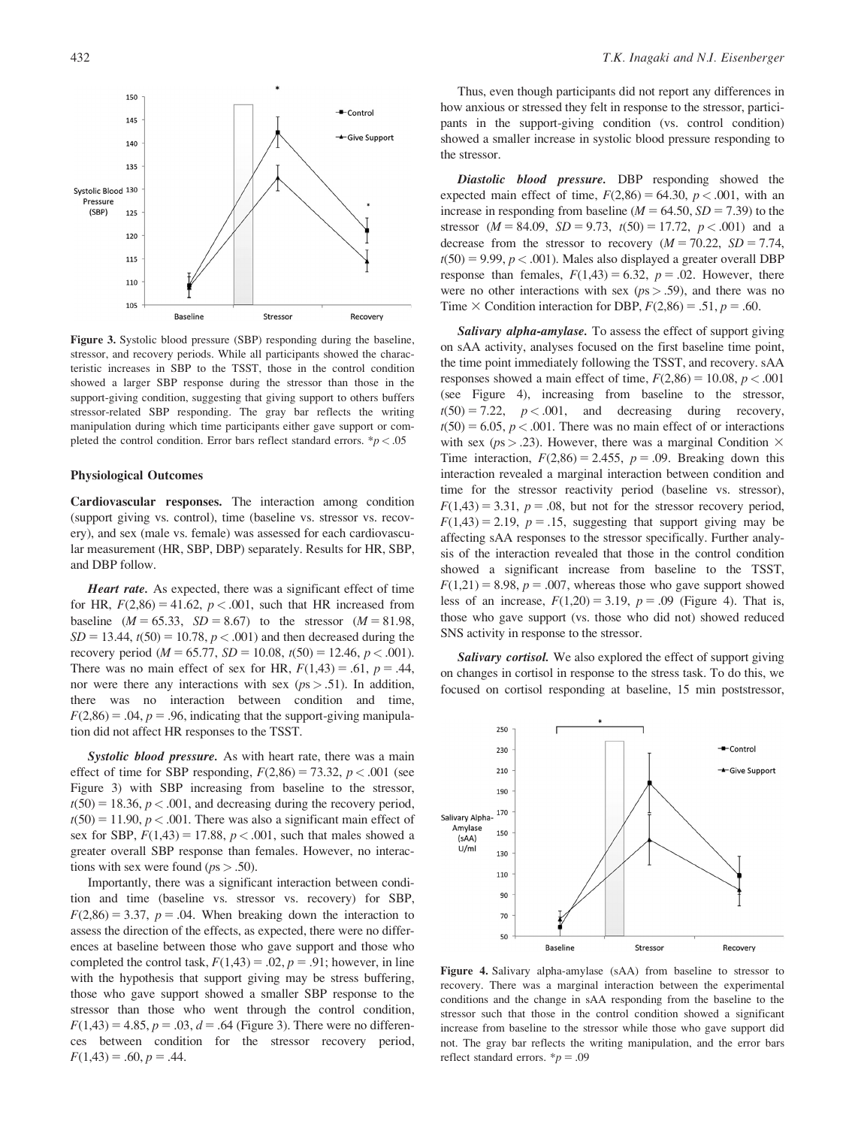

Figure 3. Systolic blood pressure (SBP) responding during the baseline, stressor, and recovery periods. While all participants showed the characteristic increases in SBP to the TSST, those in the control condition showed a larger SBP response during the stressor than those in the support-giving condition, suggesting that giving support to others buffers stressor-related SBP responding. The gray bar reflects the writing manipulation during which time participants either gave support or completed the control condition. Error bars reflect standard errors.  $p < .05$ 

## Physiological Outcomes

Cardiovascular responses. The interaction among condition (support giving vs. control), time (baseline vs. stressor vs. recovery), and sex (male vs. female) was assessed for each cardiovascular measurement (HR, SBP, DBP) separately. Results for HR, SBP, and DBP follow.

Heart rate. As expected, there was a significant effect of time for HR,  $F(2,86) = 41.62$ ,  $p < .001$ , such that HR increased from baseline  $(M = 65.33, SD = 8.67)$  to the stressor  $(M = 81.98,$  $SD = 13.44$ ,  $t(50) = 10.78$ ,  $p < .001$ ) and then decreased during the recovery period ( $M = 65.77$ ,  $SD = 10.08$ ,  $t(50) = 12.46$ ,  $p < .001$ ). There was no main effect of sex for HR,  $F(1,43) = .61$ ,  $p = .44$ , nor were there any interactions with sex ( $ps > .51$ ). In addition, there was no interaction between condition and time,  $F(2,86) = .04$ ,  $p = .96$ , indicating that the support-giving manipulation did not affect HR responses to the TSST.

Systolic blood pressure. As with heart rate, there was a main effect of time for SBP responding,  $F(2,86) = 73.32$ ,  $p < .001$  (see Figure 3) with SBP increasing from baseline to the stressor,  $t(50) = 18.36, p < .001$ , and decreasing during the recovery period,  $t(50) = 11.90, p < .001$ . There was also a significant main effect of sex for SBP,  $F(1,43) = 17.88$ ,  $p < .001$ , such that males showed a greater overall SBP response than females. However, no interactions with sex were found ( $ps > .50$ ).

Importantly, there was a significant interaction between condition and time (baseline vs. stressor vs. recovery) for SBP,  $F(2,86) = 3.37$ ,  $p = .04$ . When breaking down the interaction to assess the direction of the effects, as expected, there were no differences at baseline between those who gave support and those who completed the control task,  $F(1,43) = .02$ ,  $p = .91$ ; however, in line with the hypothesis that support giving may be stress buffering, those who gave support showed a smaller SBP response to the stressor than those who went through the control condition,  $F(1,43) = 4.85, p = .03, d = .64$  (Figure 3). There were no differences between condition for the stressor recovery period,  $F(1,43) = .60, p = .44.$ 

Thus, even though participants did not report any differences in how anxious or stressed they felt in response to the stressor, participants in the support-giving condition (vs. control condition) showed a smaller increase in systolic blood pressure responding to the stressor.

Diastolic blood pressure. DBP responding showed the expected main effect of time,  $F(2,86) = 64.30$ ,  $p < .001$ , with an increase in responding from baseline ( $M = 64.50$ ,  $SD = 7.39$ ) to the stressor  $(M = 84.09, SD = 9.73, t(50) = 17.72, p < .001)$  and a decrease from the stressor to recovery  $(M = 70.22, SD = 7.74,$  $t(50) = 9.99$ ,  $p < .001$ ). Males also displayed a greater overall DBP response than females,  $F(1,43) = 6.32$ ,  $p = .02$ . However, there were no other interactions with sex ( $ps > .59$ ), and there was no Time  $\times$  Condition interaction for DBP,  $F(2,86) = .51$ ,  $p = .60$ .

Salivary alpha-amylase. To assess the effect of support giving on sAA activity, analyses focused on the first baseline time point, the time point immediately following the TSST, and recovery. sAA responses showed a main effect of time,  $F(2,86) = 10.08$ ,  $p < .001$ (see Figure 4), increasing from baseline to the stressor,  $t(50) = 7.22$ ,  $p < .001$ , and decreasing during recovery,  $t(50) = 6.05$ ,  $p < .001$ . There was no main effect of or interactions with sex ( $ps > .23$ ). However, there was a marginal Condition  $\times$ Time interaction,  $F(2,86) = 2.455$ ,  $p = .09$ . Breaking down this interaction revealed a marginal interaction between condition and time for the stressor reactivity period (baseline vs. stressor),  $F(1,43) = 3.31$ ,  $p = .08$ , but not for the stressor recovery period,  $F(1,43) = 2.19$ ,  $p = .15$ , suggesting that support giving may be affecting sAA responses to the stressor specifically. Further analysis of the interaction revealed that those in the control condition showed a significant increase from baseline to the TSST,  $F(1,21) = 8.98$ ,  $p = .007$ , whereas those who gave support showed less of an increase,  $F(1,20) = 3.19$ ,  $p = .09$  (Figure 4). That is, those who gave support (vs. those who did not) showed reduced SNS activity in response to the stressor.

Salivary cortisol. We also explored the effect of support giving on changes in cortisol in response to the stress task. To do this, we focused on cortisol responding at baseline, 15 min poststressor,



Figure 4. Salivary alpha-amylase (sAA) from baseline to stressor to recovery. There was a marginal interaction between the experimental conditions and the change in sAA responding from the baseline to the stressor such that those in the control condition showed a significant increase from baseline to the stressor while those who gave support did not. The gray bar reflects the writing manipulation, and the error bars reflect standard errors.  $\dot{p} = .09$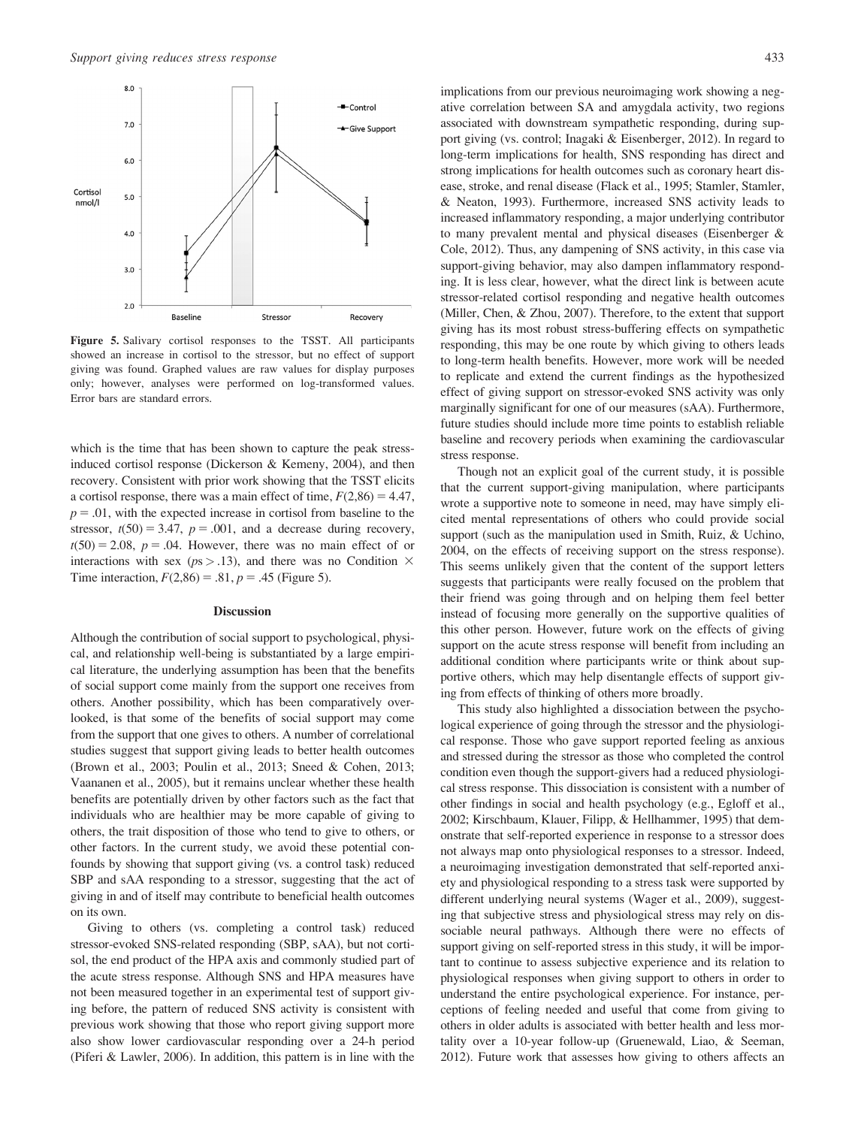

Figure 5. Salivary cortisol responses to the TSST. All participants showed an increase in cortisol to the stressor, but no effect of support giving was found. Graphed values are raw values for display purposes only; however, analyses were performed on log-transformed values. Error bars are standard errors.

which is the time that has been shown to capture the peak stressinduced cortisol response (Dickerson & Kemeny, 2004), and then recovery. Consistent with prior work showing that the TSST elicits a cortisol response, there was a main effect of time,  $F(2,86) = 4.47$ ,  $p = .01$ , with the expected increase in cortisol from baseline to the stressor,  $t(50) = 3.47$ ,  $p = .001$ , and a decrease during recovery,  $t(50) = 2.08$ ,  $p = .04$ . However, there was no main effect of or interactions with sex ( $ps > .13$ ), and there was no Condition  $\times$ Time interaction,  $F(2,86) = .81$ ,  $p = .45$  (Figure 5).

## Discussion

Although the contribution of social support to psychological, physical, and relationship well-being is substantiated by a large empirical literature, the underlying assumption has been that the benefits of social support come mainly from the support one receives from others. Another possibility, which has been comparatively overlooked, is that some of the benefits of social support may come from the support that one gives to others. A number of correlational studies suggest that support giving leads to better health outcomes (Brown et al., 2003; Poulin et al., 2013; Sneed & Cohen, 2013; Vaananen et al., 2005), but it remains unclear whether these health benefits are potentially driven by other factors such as the fact that individuals who are healthier may be more capable of giving to others, the trait disposition of those who tend to give to others, or other factors. In the current study, we avoid these potential confounds by showing that support giving (vs. a control task) reduced SBP and sAA responding to a stressor, suggesting that the act of giving in and of itself may contribute to beneficial health outcomes on its own.

Giving to others (vs. completing a control task) reduced stressor-evoked SNS-related responding (SBP, sAA), but not cortisol, the end product of the HPA axis and commonly studied part of the acute stress response. Although SNS and HPA measures have not been measured together in an experimental test of support giving before, the pattern of reduced SNS activity is consistent with previous work showing that those who report giving support more also show lower cardiovascular responding over a 24-h period (Piferi & Lawler, 2006). In addition, this pattern is in line with the

implications from our previous neuroimaging work showing a negative correlation between SA and amygdala activity, two regions associated with downstream sympathetic responding, during support giving (vs. control; Inagaki & Eisenberger, 2012). In regard to long-term implications for health, SNS responding has direct and strong implications for health outcomes such as coronary heart disease, stroke, and renal disease (Flack et al., 1995; Stamler, Stamler, & Neaton, 1993). Furthermore, increased SNS activity leads to increased inflammatory responding, a major underlying contributor to many prevalent mental and physical diseases (Eisenberger & Cole, 2012). Thus, any dampening of SNS activity, in this case via support-giving behavior, may also dampen inflammatory responding. It is less clear, however, what the direct link is between acute stressor-related cortisol responding and negative health outcomes (Miller, Chen, & Zhou, 2007). Therefore, to the extent that support giving has its most robust stress-buffering effects on sympathetic responding, this may be one route by which giving to others leads to long-term health benefits. However, more work will be needed to replicate and extend the current findings as the hypothesized effect of giving support on stressor-evoked SNS activity was only marginally significant for one of our measures (sAA). Furthermore, future studies should include more time points to establish reliable baseline and recovery periods when examining the cardiovascular stress response.

Though not an explicit goal of the current study, it is possible that the current support-giving manipulation, where participants wrote a supportive note to someone in need, may have simply elicited mental representations of others who could provide social support (such as the manipulation used in Smith, Ruiz, & Uchino, 2004, on the effects of receiving support on the stress response). This seems unlikely given that the content of the support letters suggests that participants were really focused on the problem that their friend was going through and on helping them feel better instead of focusing more generally on the supportive qualities of this other person. However, future work on the effects of giving support on the acute stress response will benefit from including an additional condition where participants write or think about supportive others, which may help disentangle effects of support giving from effects of thinking of others more broadly.

This study also highlighted a dissociation between the psychological experience of going through the stressor and the physiological response. Those who gave support reported feeling as anxious and stressed during the stressor as those who completed the control condition even though the support-givers had a reduced physiological stress response. This dissociation is consistent with a number of other findings in social and health psychology (e.g., Egloff et al., 2002; Kirschbaum, Klauer, Filipp, & Hellhammer, 1995) that demonstrate that self-reported experience in response to a stressor does not always map onto physiological responses to a stressor. Indeed, a neuroimaging investigation demonstrated that self-reported anxiety and physiological responding to a stress task were supported by different underlying neural systems (Wager et al., 2009), suggesting that subjective stress and physiological stress may rely on dissociable neural pathways. Although there were no effects of support giving on self-reported stress in this study, it will be important to continue to assess subjective experience and its relation to physiological responses when giving support to others in order to understand the entire psychological experience. For instance, perceptions of feeling needed and useful that come from giving to others in older adults is associated with better health and less mortality over a 10-year follow-up (Gruenewald, Liao, & Seeman, 2012). Future work that assesses how giving to others affects an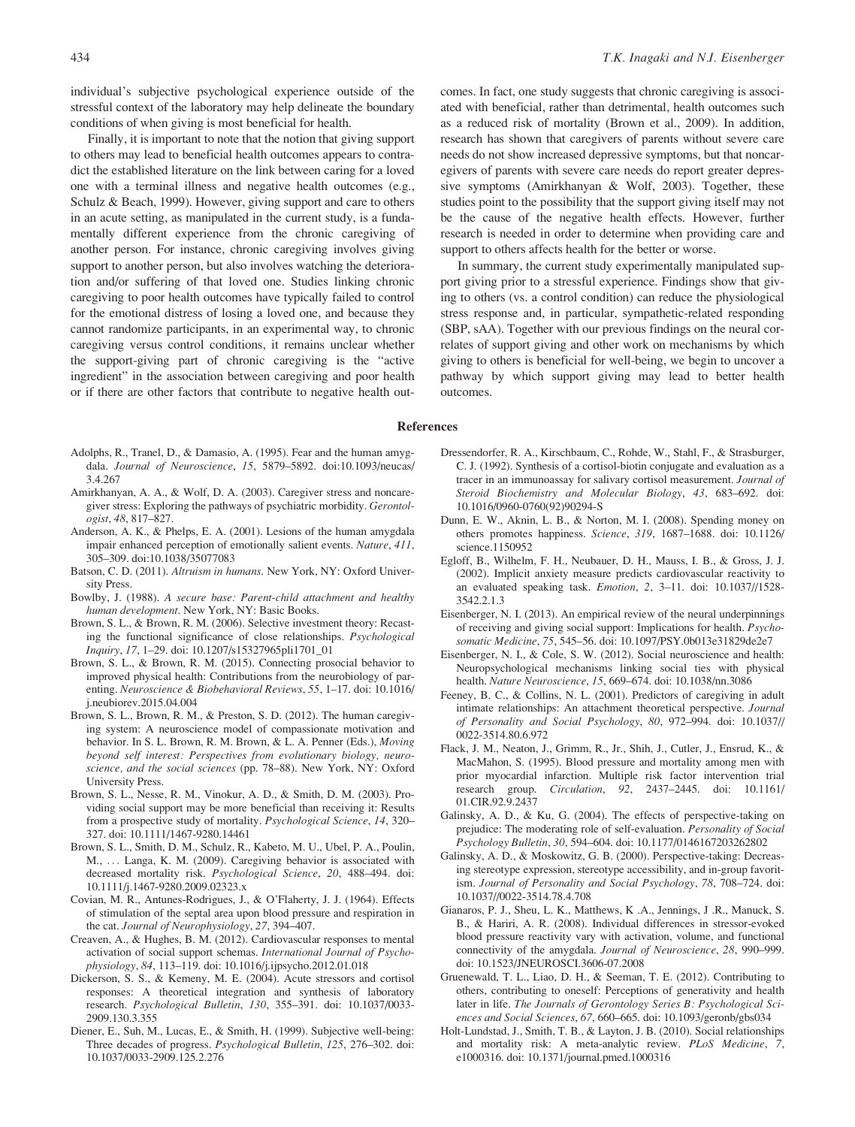individual's subjective psychological experience outside of the stressful context of the laboratory may help delineate the boundary conditions of when giving is most beneficial for health.

Finally, it is important to note that the notion that giving support to others may lead to beneficial health outcomes appears to contradict the established literature on the link between caring for a loved one with a terminal illness and negative health outcomes (e.g., Schulz & Beach, 1999). However, giving support and care to others in an acute setting, as manipulated in the current study, is a fundamentally different experience from the chronic caregiving of another person. For instance, chronic caregiving involves giving support to another person, but also involves watching the deterioration and/or suffering of that loved one. Studies linking chronic caregiving to poor health outcomes have typically failed to control for the emotional distress of losing a loved one, and because they cannot randomize participants, in an experimental way, to chronic caregiving versus control conditions, it remains unclear whether the support-giving part of chronic caregiving is the "active ingredient" in the association between caregiving and poor health or if there are other factors that contribute to negative health out-

- Adolphs, R., Tranel, D., & Damasio, A. (1995). Fear and the human amygdala. Journal of Neuroscience, 15, 5879–5892. doi:10.1093/neucas/ 3.4.267
- Amirkhanyan, A. A., & Wolf, D. A. (2003). Caregiver stress and noncaregiver stress: Exploring the pathways of psychiatric morbidity. Gerontologist, 48, 817–827.
- Anderson, A. K., & Phelps, E. A. (2001). Lesions of the human amygdala impair enhanced perception of emotionally salient events. Nature, 411, 305–309. doi:10.1038/35077083
- Batson, C. D. (2011). Altruism in humans. New York, NY: Oxford University Press.
- Bowlby, J. (1988). A secure base: Parent-child attachment and healthy human development. New York, NY: Basic Books.
- Brown, S. L., & Brown, R. M. (2006). Selective investment theory: Recasting the functional significance of close relationships. Psychological Inquiry, 17, 1–29. doi: 10.1207/s15327965pli1701\_01
- Brown, S. L., & Brown, R. M. (2015). Connecting prosocial behavior to improved physical health: Contributions from the neurobiology of parenting. Neuroscience & Biobehavioral Reviews, 55, 1–17. doi: 10.1016/ j.neubiorev.2015.04.004
- Brown, S. L., Brown, R. M., & Preston, S. D. (2012). The human caregiving system: A neuroscience model of compassionate motivation and behavior. In S. L. Brown, R. M. Brown, & L. A. Penner (Eds.), Moving beyond self interest: Perspectives from evolutionary biology, neuroscience, and the social sciences (pp. 78–88). New York, NY: Oxford University Press.
- Brown, S. L., Nesse, R. M., Vinokur, A. D., & Smith, D. M. (2003). Providing social support may be more beneficial than receiving it: Results from a prospective study of mortality. Psychological Science, 14, 320– 327. doi: 10.1111/1467-9280.14461
- Brown, S. L., Smith, D. M., Schulz, R., Kabeto, M. U., Ubel, P. A., Poulin, M., ... Langa, K. M. (2009). Caregiving behavior is associated with decreased mortality risk. Psychological Science, 20, 488–494. doi: 10.1111/j.1467-9280.2009.02323.x
- Covian, M. R., Antunes-Rodrigues, J., & O'Flaherty, J. J. (1964). Effects of stimulation of the septal area upon blood pressure and respiration in the cat. Journal of Neurophysiology, 27, 394–407.
- Creaven, A., & Hughes, B. M. (2012). Cardiovascular responses to mental activation of social support schemas. International Journal of Psychophysiology, 84, 113–119. doi: 10.1016/j.ijpsycho.2012.01.018
- Dickerson, S. S., & Kemeny, M. E. (2004). Acute stressors and cortisol responses: A theoretical integration and synthesis of laboratory research. Psychological Bulletin, 130, 355–391. doi: 10.1037/0033- 2909.130.3.355
- Diener, E., Suh, M., Lucas, E., & Smith, H. (1999). Subjective well-being: Three decades of progress. Psychological Bulletin, 125, 276–302. doi: 10.1037/0033-2909.125.2.276

comes. In fact, one study suggests that chronic caregiving is associated with beneficial, rather than detrimental, health outcomes such as a reduced risk of mortality (Brown et al., 2009). In addition, research has shown that caregivers of parents without severe care needs do not show increased depressive symptoms, but that noncaregivers of parents with severe care needs do report greater depressive symptoms (Amirkhanyan & Wolf, 2003). Together, these studies point to the possibility that the support giving itself may not be the cause of the negative health effects. However, further research is needed in order to determine when providing care and support to others affects health for the better or worse.

In summary, the current study experimentally manipulated support giving prior to a stressful experience. Findings show that giving to others (vs. a control condition) can reduce the physiological stress response and, in particular, sympathetic-related responding (SBP, sAA). Together with our previous findings on the neural correlates of support giving and other work on mechanisms by which giving to others is beneficial for well-being, we begin to uncover a pathway by which support giving may lead to better health outcomes.

#### References

- Dressendorfer, R. A., Kirschbaum, C., Rohde, W., Stahl, F., & Strasburger, C. J. (1992). Synthesis of a cortisol-biotin conjugate and evaluation as a tracer in an immunoassay for salivary cortisol measurement. Journal of Steroid Biochemistry and Molecular Biology, 43, 683–692. doi: 10.1016/0960-0760(92)90294-S
- Dunn, E. W., Aknin, L. B., & Norton, M. I. (2008). Spending money on others promotes happiness. Science, 319, 1687–1688. doi: 10.1126/ science.1150952
- Egloff, B., Wilhelm, F. H., Neubauer, D. H., Mauss, I. B., & Gross, J. J. (2002). Implicit anxiety measure predicts cardiovascular reactivity to an evaluated speaking task. Emotion, 2, 3–11. doi: 10.1037//1528- 3542.2.1.3
- Eisenberger, N. I. (2013). An empirical review of the neural underpinnings of receiving and giving social support: Implications for health. Psychosomatic Medicine, 75, 545–56. doi: 10.1097/PSY.0b013e31829de2e7
- Eisenberger, N. I., & Cole, S. W. (2012). Social neuroscience and health: Neuropsychological mechanisms linking social ties with physical health. Nature Neuroscience, 15, 669–674. doi: 10.1038/nn.3086
- Feeney, B. C., & Collins, N. L. (2001). Predictors of caregiving in adult intimate relationships: An attachment theoretical perspective. Journal of Personality and Social Psychology, 80, 972–994. doi: 10.1037// 0022-3514.80.6.972
- Flack, J. M., Neaton, J., Grimm, R., Jr., Shih, J., Cutler, J., Ensrud, K., & MacMahon, S. (1995). Blood pressure and mortality among men with prior myocardial infarction. Multiple risk factor intervention trial research group. Circulation, 92, 2437–2445. doi: 10.1161/ 01.CIR.92.9.2437
- Galinsky, A. D., & Ku, G. (2004). The effects of perspective-taking on prejudice: The moderating role of self-evaluation. Personality of Social Psychology Bulletin, 30, 594–604. doi: 10.1177/0146167203262802
- Galinsky, A. D., & Moskowitz, G. B. (2000). Perspective-taking: Decreasing stereotype expression, stereotype accessibility, and in-group favoritism. Journal of Personality and Social Psychology, 78, 708–724. doi: 10.1037//0022-3514.78.4.708
- Gianaros, P. J., Sheu, L. K., Matthews, K .A., Jennings, J .R., Manuck, S. B., & Hariri, A. R. (2008). Individual differences in stressor-evoked blood pressure reactivity vary with activation, volume, and functional connectivity of the amygdala. Journal of Neuroscience, 28, 990–999. doi: 10.1523/JNEUROSCI.3606-07.2008
- Gruenewald, T. L., Liao, D. H., & Seeman, T. E. (2012). Contributing to others, contributing to oneself: Perceptions of generativity and health later in life. The Journals of Gerontology Series B: Psychological Sciences and Social Sciences, 67, 660–665. doi: 10.1093/geronb/gbs034
- Holt-Lundstad, J., Smith, T. B., & Layton, J. B. (2010). Social relationships and mortality risk: A meta-analytic review. PLoS Medicine, 7, e1000316. doi: 10.1371/journal.pmed.1000316